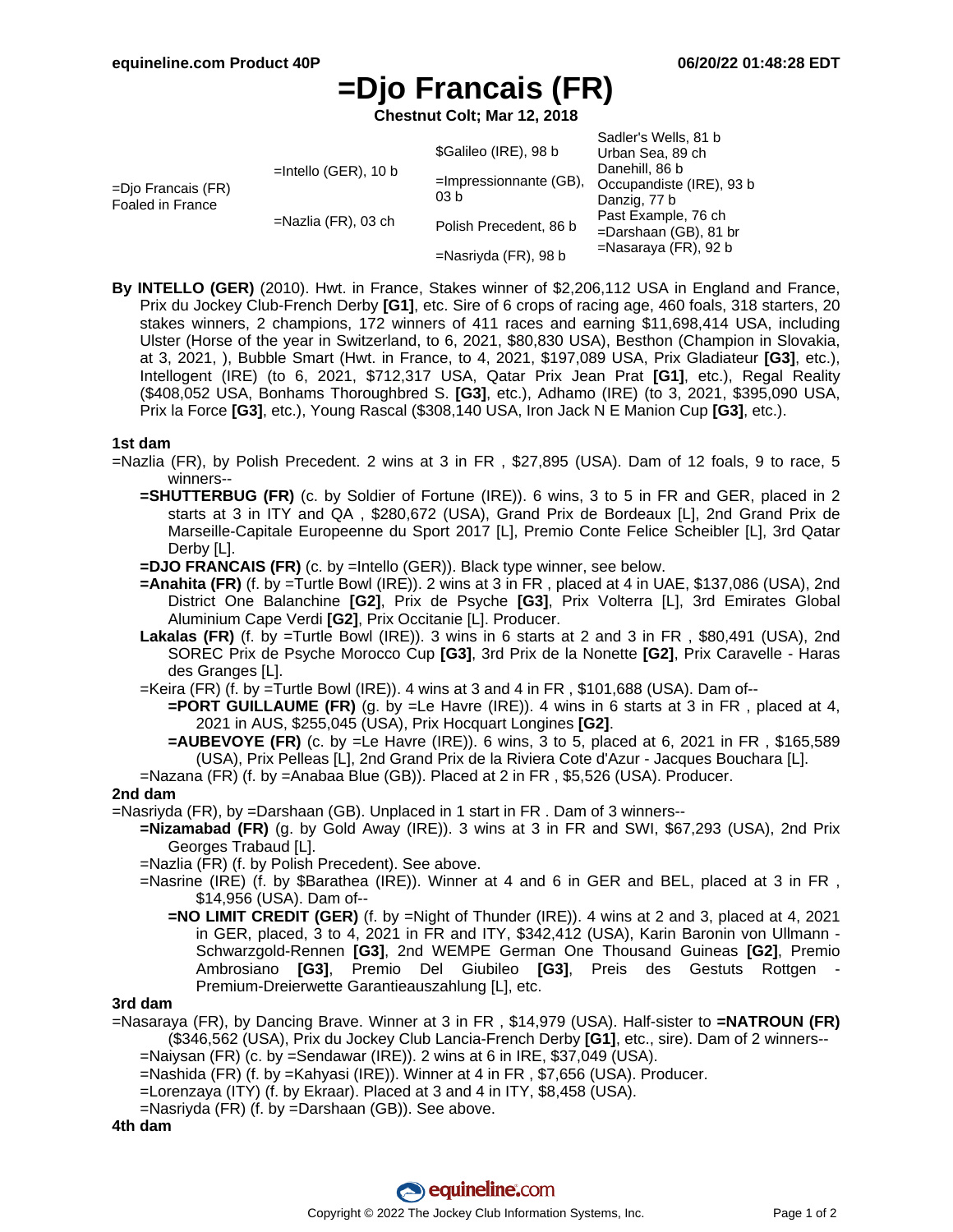Sadler's Wells, 81 b

# **=Djo Francais (FR)**

**Chestnut Colt; Mar 12, 2018**

| =Djo Francais (FR)<br>Foaled in France | $=$ Intello (GER), 10 b | \$Galileo (IRE), 98 b             | <u>OUGHOLD VYOHO. OT D</u><br>Urban Sea, 89 ch |
|----------------------------------------|-------------------------|-----------------------------------|------------------------------------------------|
|                                        |                         | $=$ Impressionnante (GB),<br>03 b | Danehill, 86 b                                 |
|                                        |                         |                                   | Occupandiste (IRE), 93 b                       |
|                                        | $=$ Nazlia (FR), 03 ch  |                                   | Danzig, 77 b<br>Past Example, 76 ch            |
|                                        |                         | Polish Precedent, 86 b            | $=$ Darshaan (GB), 81 br                       |
|                                        |                         |                                   | $=$ Nasaraya (FR), 92 b                        |
|                                        |                         | $=$ Nasriyda (FR), 98 b           |                                                |

**By INTELLO (GER)** (2010). Hwt. in France, Stakes winner of \$2,206,112 USA in England and France, Prix du Jockey Club-French Derby **[G1]**, etc. Sire of 6 crops of racing age, 460 foals, 318 starters, 20 stakes winners, 2 champions, 172 winners of 411 races and earning \$11,698,414 USA, including Ulster (Horse of the year in Switzerland, to 6, 2021, \$80,830 USA), Besthon (Champion in Slovakia, at 3, 2021, ), Bubble Smart (Hwt. in France, to 4, 2021, \$197,089 USA, Prix Gladiateur **[G3]**, etc.), Intellogent (IRE) (to 6, 2021, \$712,317 USA, Qatar Prix Jean Prat **[G1]**, etc.), Regal Reality (\$408,052 USA, Bonhams Thoroughbred S. **[G3]**, etc.), Adhamo (IRE) (to 3, 2021, \$395,090 USA, Prix la Force **[G3]**, etc.), Young Rascal (\$308,140 USA, Iron Jack N E Manion Cup **[G3]**, etc.).

#### **1st dam**

=Nazlia (FR), by Polish Precedent. 2 wins at 3 in FR , \$27,895 (USA). Dam of 12 foals, 9 to race, 5 winners--

- **=SHUTTERBUG (FR)** (c. by Soldier of Fortune (IRE)). 6 wins, 3 to 5 in FR and GER, placed in 2 starts at 3 in ITY and QA , \$280,672 (USA), Grand Prix de Bordeaux [L], 2nd Grand Prix de Marseille-Capitale Europeenne du Sport 2017 [L], Premio Conte Felice Scheibler [L], 3rd Qatar Derby [L].
- **=DJO FRANCAIS (FR)** (c. by =Intello (GER)). Black type winner, see below.
- **=Anahita (FR)** (f. by =Turtle Bowl (IRE)). 2 wins at 3 in FR , placed at 4 in UAE, \$137,086 (USA), 2nd District One Balanchine **[G2]**, Prix de Psyche **[G3]**, Prix Volterra [L], 3rd Emirates Global Aluminium Cape Verdi **[G2]**, Prix Occitanie [L]. Producer.
- **Lakalas (FR)** (f. by =Turtle Bowl (IRE)). 3 wins in 6 starts at 2 and 3 in FR , \$80,491 (USA), 2nd SOREC Prix de Psyche Morocco Cup **[G3]**, 3rd Prix de la Nonette **[G2]**, Prix Caravelle - Haras des Granges [L].
- =Keira (FR) (f. by =Turtle Bowl (IRE)). 4 wins at 3 and 4 in FR , \$101,688 (USA). Dam of--
	- **=PORT GUILLAUME (FR)** (g. by =Le Havre (IRE)). 4 wins in 6 starts at 3 in FR , placed at 4, 2021 in AUS, \$255,045 (USA), Prix Hocquart Longines **[G2]**.
	- **=AUBEVOYE (FR)** (c. by =Le Havre (IRE)). 6 wins, 3 to 5, placed at 6, 2021 in FR , \$165,589 (USA), Prix Pelleas [L], 2nd Grand Prix de la Riviera Cote d'Azur - Jacques Bouchara [L].

### =Nazana (FR) (f. by =Anabaa Blue (GB)). Placed at 2 in FR , \$5,526 (USA). Producer.

## **2nd dam**

- =Nasriyda (FR), by =Darshaan (GB). Unplaced in 1 start in FR . Dam of 3 winners--
	- **=Nizamabad (FR)** (g. by Gold Away (IRE)). 3 wins at 3 in FR and SWI, \$67,293 (USA), 2nd Prix Georges Trabaud [L].
	- =Nazlia (FR) (f. by Polish Precedent). See above.
	- =Nasrine (IRE) (f. by \$Barathea (IRE)). Winner at 4 and 6 in GER and BEL, placed at 3 in FR , \$14,956 (USA). Dam of--
		- **=NO LIMIT CREDIT (GER)** (f. by =Night of Thunder (IRE)). 4 wins at 2 and 3, placed at 4, 2021 in GER, placed, 3 to 4, 2021 in FR and ITY, \$342,412 (USA), Karin Baronin von Ullmann - Schwarzgold-Rennen **[G3]**, 2nd WEMPE German One Thousand Guineas **[G2]**, Premio Ambrosiano **[G3]**, Premio Del Giubileo **[G3]**, Preis des Gestuts Rottgen - Premium-Dreierwette Garantieauszahlung [L], etc.

#### **3rd dam**

=Nasaraya (FR), by Dancing Brave. Winner at 3 in FR , \$14,979 (USA). Half-sister to **=NATROUN (FR)** (\$346,562 (USA), Prix du Jockey Club Lancia-French Derby **[G1]**, etc., sire). Dam of 2 winners--

=Naiysan (FR) (c. by =Sendawar (IRE)). 2 wins at 6 in IRE, \$37,049 (USA).

- =Nashida (FR) (f. by =Kahyasi (IRE)). Winner at 4 in FR , \$7,656 (USA). Producer.
- =Lorenzaya (ITY) (f. by Ekraar). Placed at 3 and 4 in ITY, \$8,458 (USA).
- =Nasriyda (FR) (f. by =Darshaan (GB)). See above.

**4th dam**